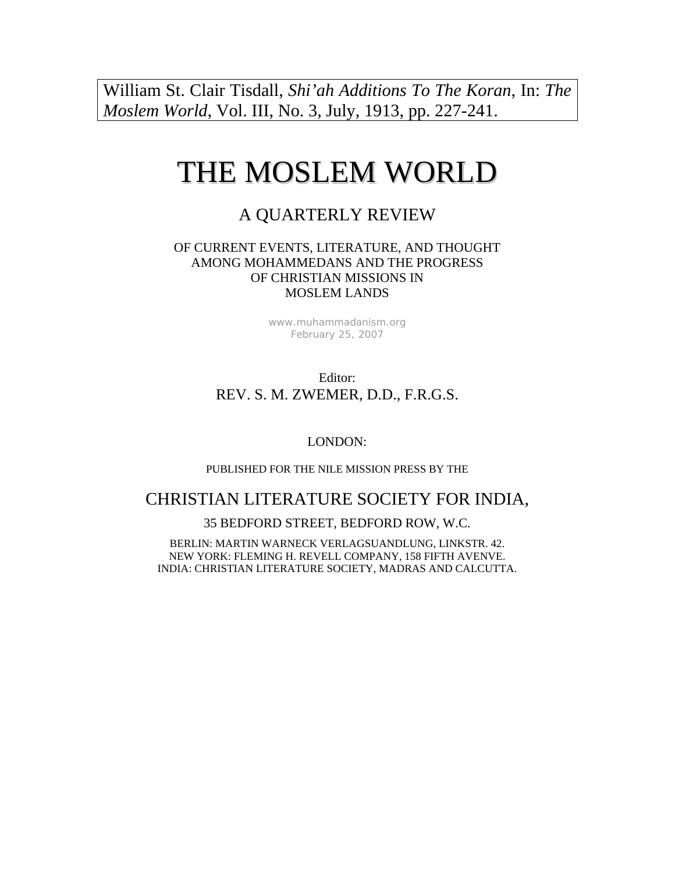William St. Clair Tisdall, *Shi'ah Additions To The Koran*, In: *The Moslem World*, Vol. III, No. 3, July, 1913, pp. 227-241.

# THE MOSLEM WORLD

## A QUARTERLY REVIEW

#### OF CURRENT EVENTS, LITERATURE, AND THOUGHT AMONG MOHAMMEDANS AND THE PROGRESS OF CHRISTIAN MISSIONS IN MOSLEM LANDS

[www.muhammadanism.org](http://www.muhammadanism.org/) February 25, 2007

Editor: REV. S. M. ZWEMER, D.D., F.R.G.S.

LONDON:

PUBLISHED FOR THE NILE MISSION PRESS BY THE

## CHRISTIAN LITERATURE SOCIETY FOR INDIA,

35 BEDFORD STREET, BEDFORD ROW, W.C.

BERLIN: MARTIN WARNECK VERLAGSUANDLUNG, LINKSTR. 42. NEW YORK: FLEMING H. REVELL COMPANY, 158 FIFTH AVENVE. INDIA: CHRISTIAN LITERATURE SOCIETY, MADRAS AND CALCUTTA.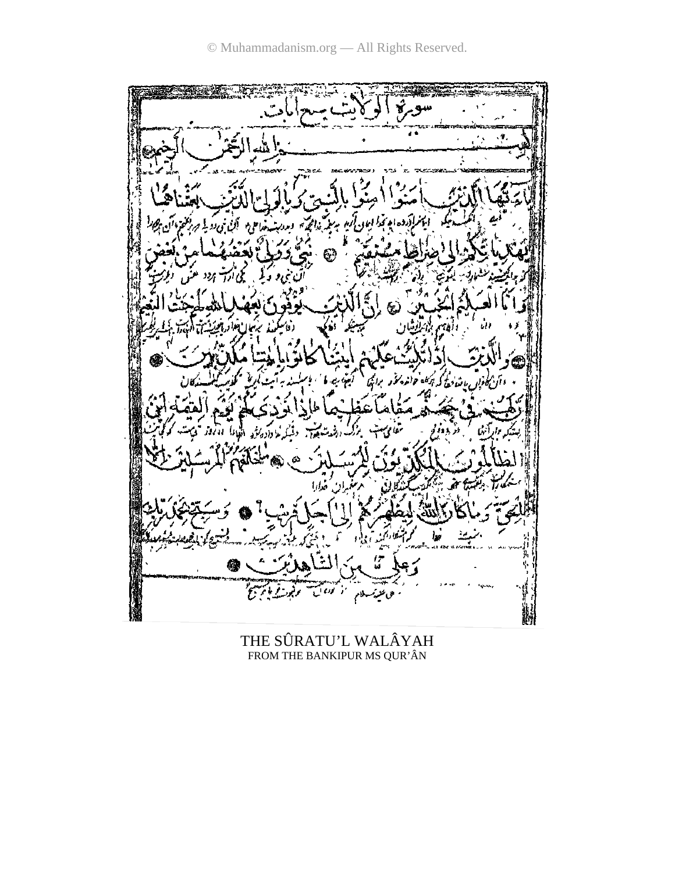

THE SÛRATU'L WALÂYAH FROM THE BANKIPUR MS QUR'ÂN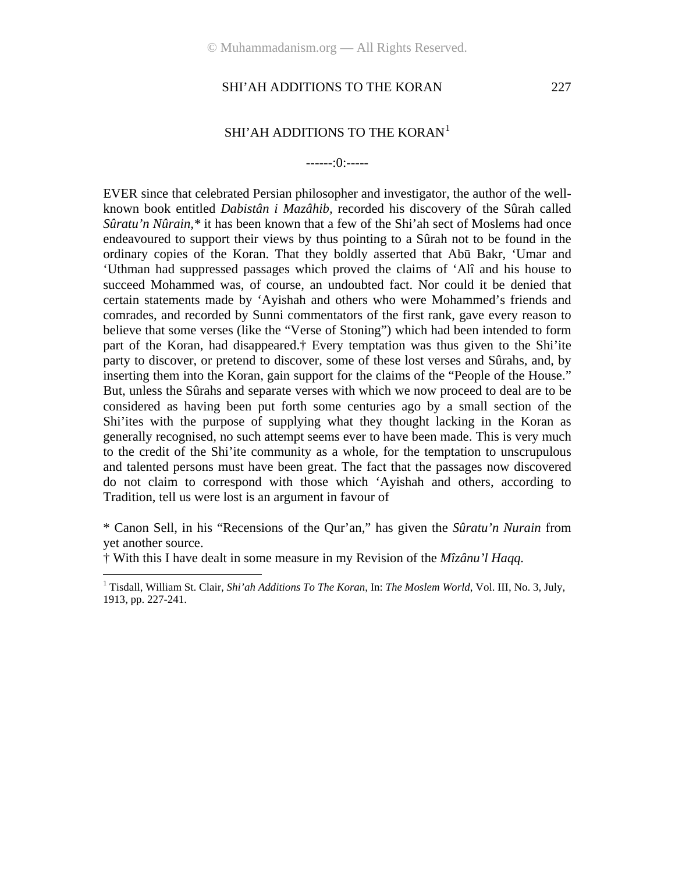#### SHI'AH ADDITIONS TO THE KORAN<sup>[1](#page-2-0)</sup>

#### ------:0:-----

EVER since that celebrated Persian philosopher and investigator, the author of the wellknown book entitled *Dabistân i Mazâhib,* recorded his discovery of the Sûrah called *Sûratu'n Nûrain,\** it has been known that a few of the Shi'ah sect of Moslems had once endeavoured to support their views by thus pointing to a Sûrah not to be found in the ordinary copies of the Koran. That they boldly asserted that Abū Bakr, 'Umar and 'Uthman had suppressed passages which proved the claims of 'Alî and his house to succeed Mohammed was, of course, an undoubted fact. Nor could it be denied that certain statements made by 'Ayishah and others who were Mohammed's friends and comrades, and recorded by Sunni commentators of the first rank, gave every reason to believe that some verses (like the "Verse of Stoning") which had been intended to form part of the Koran, had disappeared.† Every temptation was thus given to the Shi'ite party to discover, or pretend to discover, some of these lost verses and Sûrahs, and, by inserting them into the Koran, gain support for the claims of the "People of the House." But, unless the Sûrahs and separate verses with which we now proceed to deal are to be considered as having been put forth some centuries ago by a small section of the Shi'ites with the purpose of supplying what they thought lacking in the Koran as generally recognised, no such attempt seems ever to have been made. This is very much to the credit of the Shi'ite community as a whole, for the temptation to unscrupulous and talented persons must have been great. The fact that the passages now discovered do not claim to correspond with those which 'Ayishah and others, according to Tradition, tell us were lost is an argument in favour of

\* Canon Sell, in his "Recensions of the Qur'an," has given the *Sûratu'n Nurain* from yet another source.

† With this I have dealt in some measure in my Revision of the *Mîzânu'l Haqq.*

 $\overline{a}$ 

<span id="page-2-0"></span><sup>&</sup>lt;sup>1</sup> Tisdall, William St. Clair, *Shi'ah Additions To The Koran*, In: *The Moslem World*, Vol. III, No. 3, July, 1913, pp. 227-241.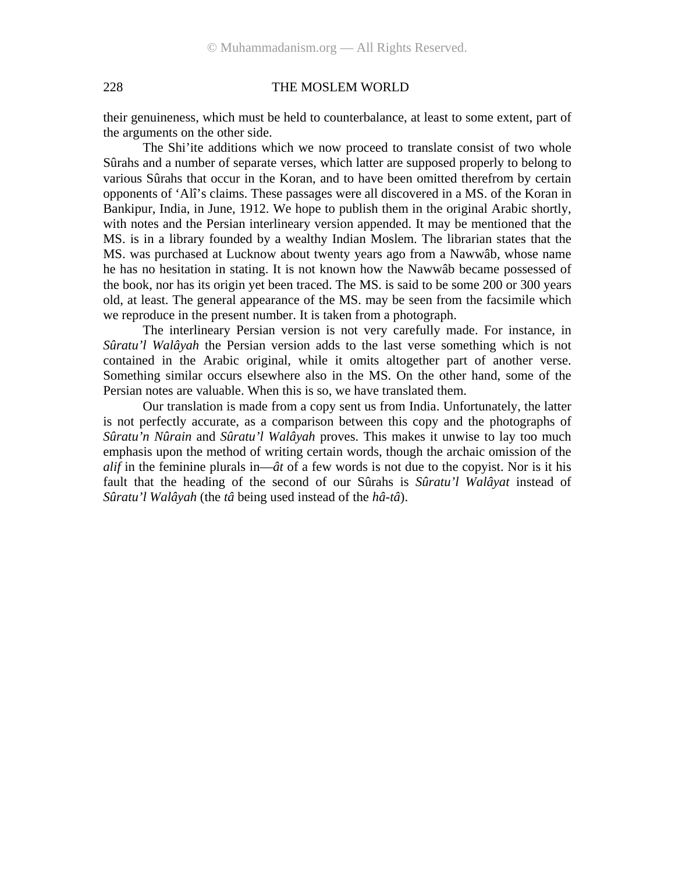their genuineness, which must be held to counterbalance, at least to some extent, part of the arguments on the other side.

The Shi'ite additions which we now proceed to translate consist of two whole Sûrahs and a number of separate verses, which latter are supposed properly to belong to various Sûrahs that occur in the Koran, and to have been omitted therefrom by certain opponents of 'Alî's claims. These passages were all discovered in a MS. of the Koran in Bankipur, India, in June, 1912. We hope to publish them in the original Arabic shortly, with notes and the Persian interlineary version appended. It may be mentioned that the MS. is in a library founded by a wealthy Indian Moslem. The librarian states that the MS. was purchased at Lucknow about twenty years ago from a Nawwâb, whose name he has no hesitation in stating. It is not known how the Nawwâb became possessed of the book, nor has its origin yet been traced. The MS. is said to be some 200 or 300 years old, at least. The general appearance of the MS. may be seen from the facsimile which we reproduce in the present number. It is taken from a photograph.

The interlineary Persian version is not very carefully made. For instance, in *Sûratu'l Walâyah* the Persian version adds to the last verse something which is not contained in the Arabic original, while it omits altogether part of another verse. Something similar occurs elsewhere also in the MS. On the other hand, some of the Persian notes are valuable. When this is so, we have translated them.

Our translation is made from a copy sent us from India. Unfortunately, the latter is not perfectly accurate, as a comparison between this copy and the photographs of *Sûratu'n Nûrain* and *Sûratu'l Walâyah* proves. This makes it unwise to lay too much emphasis upon the method of writing certain words, though the archaic omission of the *alif* in the feminine plurals in—*ât* of a few words is not due to the copyist. Nor is it his fault that the heading of the second of our Sûrahs is *Sûratu'l Walâyat* instead of *Sûratu'l Walâyah* (the *tâ* being used instead of the *hâ-tâ*).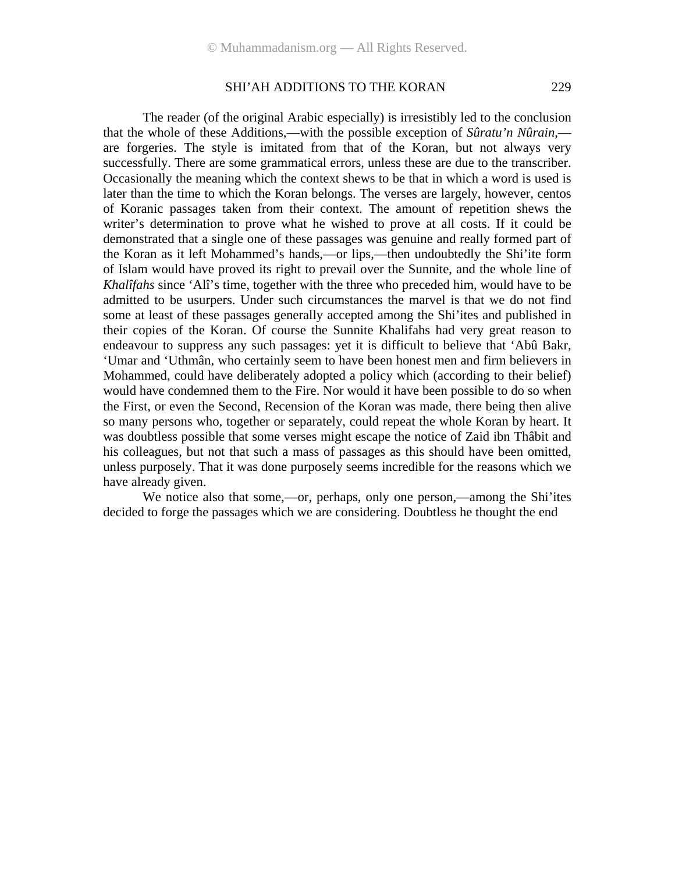The reader (of the original Arabic especially) is irresistibly led to the conclusion that the whole of these Additions,—with the possible exception of *Sûratu'n Nûrain*, are forgeries. The style is imitated from that of the Koran, but not always very successfully. There are some grammatical errors, unless these are due to the transcriber. Occasionally the meaning which the context shews to be that in which a word is used is later than the time to which the Koran belongs. The verses are largely, however, centos of Koranic passages taken from their context. The amount of repetition shews the writer's determination to prove what he wished to prove at all costs. If it could be demonstrated that a single one of these passages was genuine and really formed part of the Koran as it left Mohammed's hands,—or lips,—then undoubtedly the Shi'ite form of Islam would have proved its right to prevail over the Sunnite, and the whole line of *Khalîfahs* since 'Alî's time, together with the three who preceded him, would have to be admitted to be usurpers. Under such circumstances the marvel is that we do not find some at least of these passages generally accepted among the Shi'ites and published in their copies of the Koran. Of course the Sunnite Khalifahs had very great reason to endeavour to suppress any such passages: yet it is difficult to believe that 'Abû Bakr, 'Umar and 'Uthmân, who certainly seem to have been honest men and firm believers in Mohammed, could have deliberately adopted a policy which (according to their belief) would have condemned them to the Fire. Nor would it have been possible to do so when the First, or even the Second, Recension of the Koran was made, there being then alive so many persons who, together or separately, could repeat the whole Koran by heart. It was doubtless possible that some verses might escape the notice of Zaid ibn Thâbit and his colleagues, but not that such a mass of passages as this should have been omitted, unless purposely. That it was done purposely seems incredible for the reasons which we have already given.

We notice also that some,—or, perhaps, only one person,—among the Shi'ites decided to forge the passages which we are considering. Doubtless he thought the end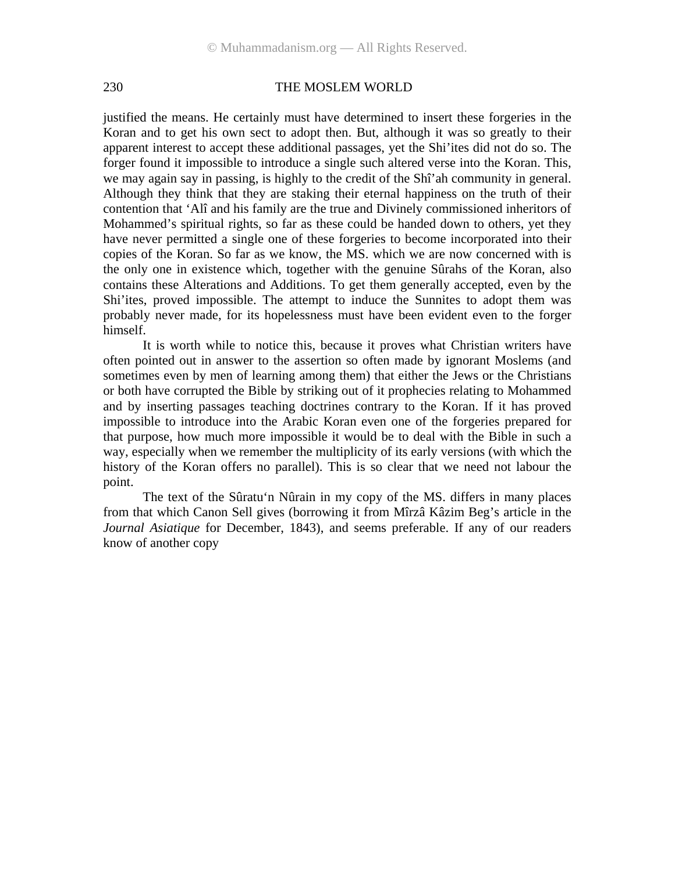justified the means. He certainly must have determined to insert these forgeries in the Koran and to get his own sect to adopt then. But, although it was so greatly to their apparent interest to accept these additional passages, yet the Shi'ites did not do so. The forger found it impossible to introduce a single such altered verse into the Koran. This, we may again say in passing, is highly to the credit of the Shî'ah community in general. Although they think that they are staking their eternal happiness on the truth of their contention that 'Alî and his family are the true and Divinely commissioned inheritors of Mohammed's spiritual rights, so far as these could be handed down to others, yet they have never permitted a single one of these forgeries to become incorporated into their copies of the Koran. So far as we know, the MS. which we are now concerned with is the only one in existence which, together with the genuine Sûrahs of the Koran, also contains these Alterations and Additions. To get them generally accepted, even by the Shi'ites, proved impossible. The attempt to induce the Sunnites to adopt them was probably never made, for its hopelessness must have been evident even to the forger himself.

It is worth while to notice this, because it proves what Christian writers have often pointed out in answer to the assertion so often made by ignorant Moslems (and sometimes even by men of learning among them) that either the Jews or the Christians or both have corrupted the Bible by striking out of it prophecies relating to Mohammed and by inserting passages teaching doctrines contrary to the Koran. If it has proved impossible to introduce into the Arabic Koran even one of the forgeries prepared for that purpose, how much more impossible it would be to deal with the Bible in such a way, especially when we remember the multiplicity of its early versions (with which the history of the Koran offers no parallel). This is so clear that we need not labour the point.

The text of the Sûratu'n Nûrain in my copy of the MS. differs in many places from that which Canon Sell gives (borrowing it from Mîrzâ Kâzim Beg's article in the *Journal Asiatique* for December, 1843), and seems preferable. If any of our readers know of another copy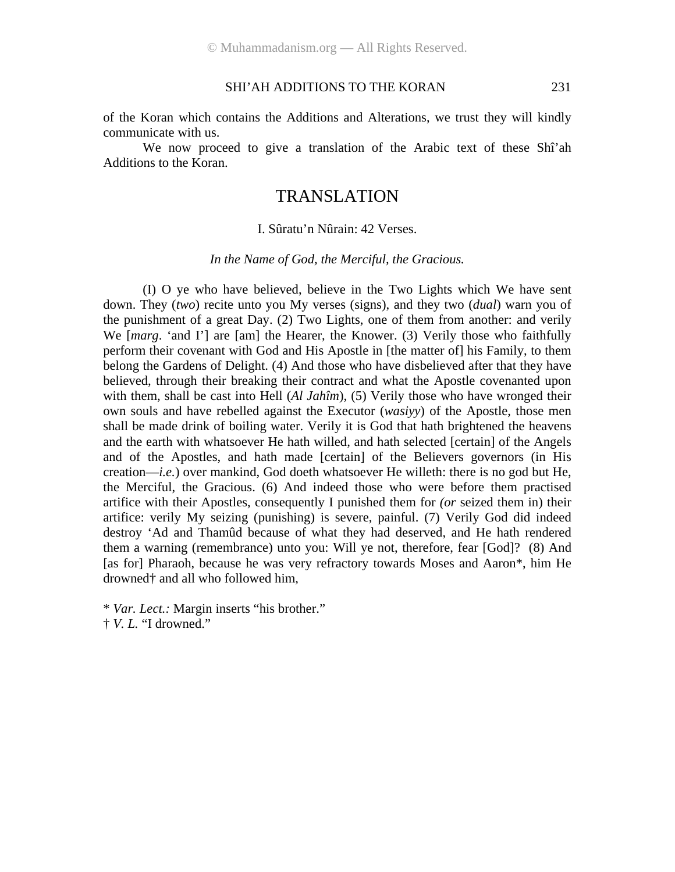of the Koran which contains the Additions and Alterations, we trust they will kindly communicate with us.

We now proceed to give a translation of the Arabic text of these Shî'ah Additions to the Koran.

## TRANSLATION

#### I. Sûratu'n Nûrain: 42 Verses.

#### *In the Name of God, the Merciful, the Gracious.*

(I) O ye who have believed, believe in the Two Lights which We have sent down. They (*two*) recite unto you My verses (signs), and they two (*dual*) warn you of the punishment of a great Day. (2) Two Lights, one of them from another: and verily We [*marg.* 'and I'] are [am] the Hearer, the Knower. (3) Verily those who faithfully perform their covenant with God and His Apostle in [the matter of] his Family, to them belong the Gardens of Delight. (4) And those who have disbelieved after that they have believed, through their breaking their contract and what the Apostle covenanted upon with them, shall be cast into Hell (*Al Jahîm*), (5) Verily those who have wronged their own souls and have rebelled against the Executor (*wasiyy*) of the Apostle, those men shall be made drink of boiling water. Verily it is God that hath brightened the heavens and the earth with whatsoever He hath willed, and hath selected [certain] of the Angels and of the Apostles, and hath made [certain] of the Believers governors (in His creation—*i.e.*) over mankind, God doeth whatsoever He willeth: there is no god but He, the Merciful, the Gracious. (6) And indeed those who were before them practised artifice with their Apostles, consequently I punished them for *(or* seized them in) their artifice: verily My seizing (punishing) is severe, painful. (7) Verily God did indeed destroy 'Ad and Thamûd because of what they had deserved, and He hath rendered them a warning (remembrance) unto you: Will ye not, therefore, fear [God]? (8) And [as for] Pharaoh, because he was very refractory towards Moses and Aaron\*, him He drowned† and all who followed him,

† *V. L.* "I drowned."

<sup>\*</sup> *Var. Lect.:* Margin inserts "his brother."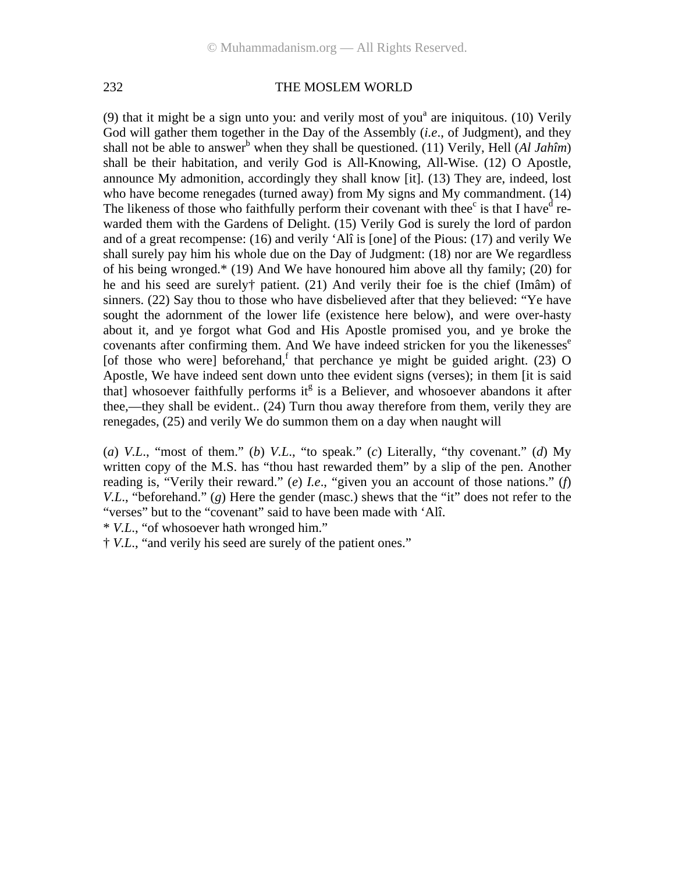(9) that it might be a sign unto you: and verily most of you<sup>a</sup> are iniquitous. (10) Verily God will gather them together in the Day of the Assembly (*i.e*., of Judgment), and they shall not be able to answer<sup>b</sup> when they shall be questioned. (11) Verily, Hell (*Al Jahîm*) shall be their habitation, and verily God is All-Knowing, All-Wise. (12) O Apostle, announce My admonition, accordingly they shall know [it]. (13) They are, indeed, lost who have become renegades (turned away) from My signs and My commandment. (14) The likeness of those who faithfully perform their covenant with thee $^{\circ}$  is that I have  $^{\circ}$  rewarded them with the Gardens of Delight. (15) Verily God is surely the lord of pardon and of a great recompense: (16) and verily 'Alî is [one] of the Pious: (17) and verily We shall surely pay him his whole due on the Day of Judgment: (18) nor are We regardless of his being wronged.\* (19) And We have honoured him above all thy family; (20) for he and his seed are surely† patient. (21) And verily their foe is the chief (Imâm) of sinners. (22) Say thou to those who have disbelieved after that they believed: "Ye have sought the adornment of the lower life (existence here below), and were over-hasty about it, and ye forgot what God and His Apostle promised you, and ye broke the covenants after confirming them. And We have indeed stricken for you the likenesses $e^{\epsilon}$ [of those who were] beforehand,  $f$  that perchance ye might be guided aright. (23) O Apostle, We have indeed sent down unto thee evident signs (verses); in them [it is said that] whosoever faithfully performs it<sup>g</sup> is a Believer, and whosoever abandons it after thee,—they shall be evident.. (24) Turn thou away therefore from them, verily they are renegades, (25) and verily We do summon them on a day when naught will

(*a*) *V.L*., "most of them." (*b*) *V.L*., "to speak." (*c*) Literally, "thy covenant." (*d*) My written copy of the M.S. has "thou hast rewarded them" by a slip of the pen. Another reading is, "Verily their reward." (*e*) *I.e*., "given you an account of those nations." (*f*) *V.L.*, "beforehand." (*g*) Here the gender (masc.) shews that the "it" does not refer to the "verses" but to the "covenant" said to have been made with 'Alî.

\* *V.L*., "of whosoever hath wronged him."

† *V.L*., "and verily his seed are surely of the patient ones."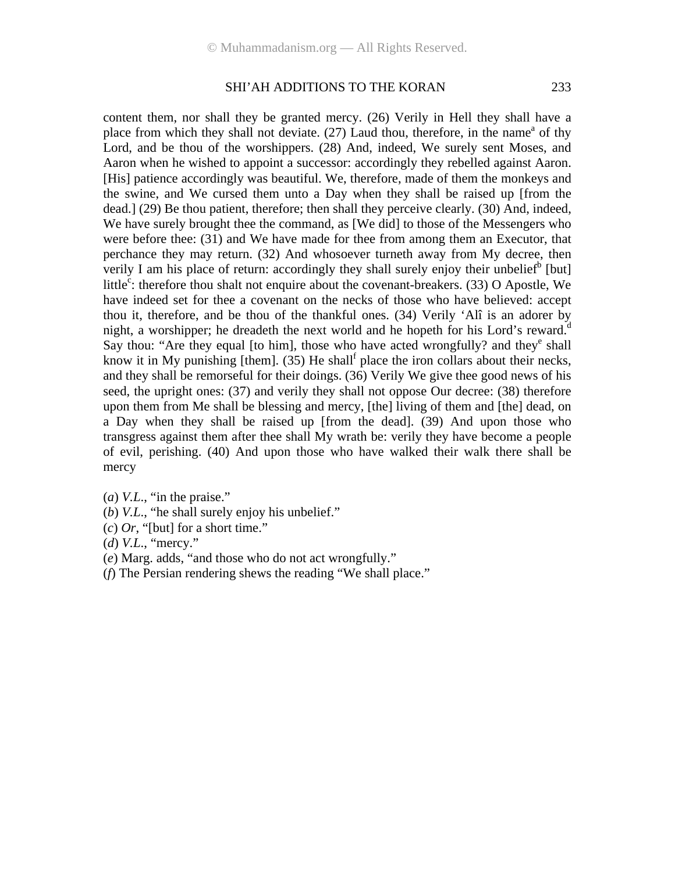content them, nor shall they be granted mercy. (26) Verily in Hell they shall have a place from which they shall not deviate.  $(27)$  Laud thou, therefore, in the name<sup>a</sup> of thy Lord, and be thou of the worshippers. (28) And, indeed, We surely sent Moses, and Aaron when he wished to appoint a successor: accordingly they rebelled against Aaron. [His] patience accordingly was beautiful. We, therefore, made of them the monkeys and the swine, and We cursed them unto a Day when they shall be raised up [from the dead.] (29) Be thou patient, therefore; then shall they perceive clearly. (30) And, indeed, We have surely brought thee the command, as [We did] to those of the Messengers who were before thee: (31) and We have made for thee from among them an Executor, that perchance they may return. (32) And whosoever turneth away from My decree, then verily I am his place of return: accordingly they shall surely enjoy their unbelief<sup>b</sup> [but] little<sup>c</sup>: therefore thou shalt not enquire about the covenant-breakers. (33) O Apostle, We have indeed set for thee a covenant on the necks of those who have believed: accept thou it, therefore, and be thou of the thankful ones. (34) Verily 'Alî is an adorer by night, a worshipper; he dreadeth the next world and he hopeth for his Lord's reward.<sup>d</sup> Say thou: "Are they equal [to him], those who have acted wrongfully? and they<sup>e</sup> shall know it in My punishing [them].  $(35)$  He shall<sup>f</sup> place the iron collars about their necks, and they shall be remorseful for their doings. (36) Verily We give thee good news of his seed, the upright ones: (37) and verily they shall not oppose Our decree: (38) therefore upon them from Me shall be blessing and mercy, [the] living of them and [the] dead, on a Day when they shall be raised up [from the dead]. (39) And upon those who transgress against them after thee shall My wrath be: verily they have become a people of evil, perishing. (40) And upon those who have walked their walk there shall be mercy

- (*a*) *V.L*., "in the praise."
- (*b*) *V.L*., "he shall surely enjoy his unbelief."
- (*c*) *Or*, "[but] for a short time."
- (*d*) *V.L*., "mercy."
- (*e*) Marg. adds, "and those who do not act wrongfully."
- (*f*) The Persian rendering shews the reading "We shall place."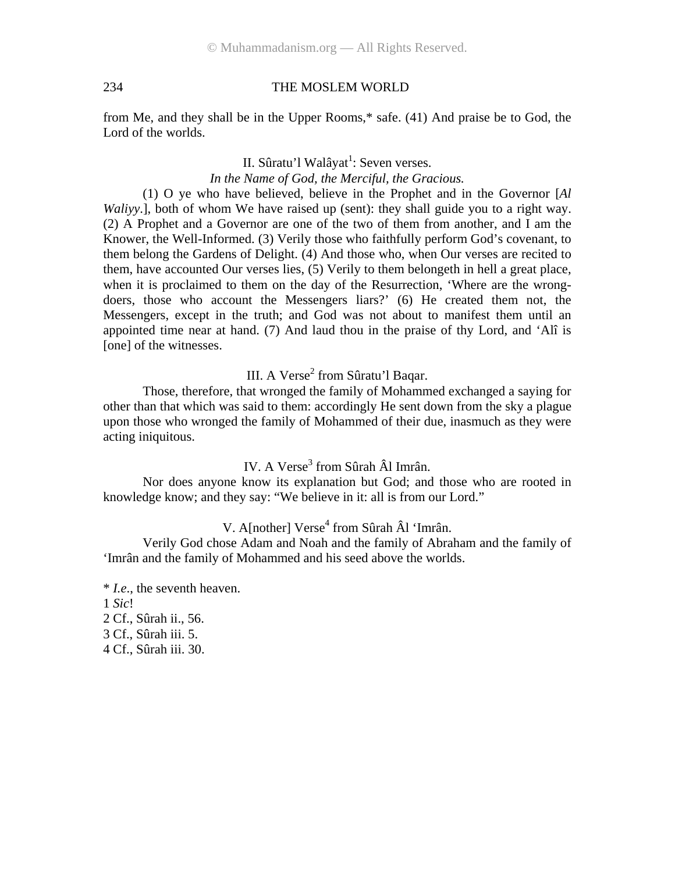from Me, and they shall be in the Upper Rooms,\* safe. (41) And praise be to God, the Lord of the worlds.

> II. Sûratu'l Walâyat<sup>1</sup>: Seven verses. *In the Name of God, the Merciful, the Gracious.*

(1) O ye who have believed, believe in the Prophet and in the Governor [*Al Waliyy*.], both of whom We have raised up (sent): they shall guide you to a right way. (2) A Prophet and a Governor are one of the two of them from another, and I am the Knower, the Well-Informed. (3) Verily those who faithfully perform God's covenant, to them belong the Gardens of Delight. (4) And those who, when Our verses are recited to them, have accounted Our verses lies, (5) Verily to them belongeth in hell a great place, when it is proclaimed to them on the day of the Resurrection, 'Where are the wrongdoers, those who account the Messengers liars?' (6) He created them not, the Messengers, except in the truth; and God was not about to manifest them until an appointed time near at hand. (7) And laud thou in the praise of thy Lord, and 'Alî is [one] of the witnesses.

III. A Verse<sup>2</sup> from Sûratu'l Baqar.

Those, therefore, that wronged the family of Mohammed exchanged a saying for other than that which was said to them: accordingly He sent down from the sky a plague upon those who wronged the family of Mohammed of their due, inasmuch as they were acting iniquitous.

IV. A Verse<sup>3</sup> from Sûrah Âl Imrân.

Nor does anyone know its explanation but God; and those who are rooted in knowledge know; and they say: "We believe in it: all is from our Lord."

## V. A[nother] Verse<sup>4</sup> from Sûrah Âl 'Imrân.

Verily God chose Adam and Noah and the family of Abraham and the family of 'Imrân and the family of Mohammed and his seed above the worlds.

\* *I.e*., the seventh heaven. 1 *Sic*! 2 Cf., Sûrah ii., 56. 3 Cf., Sûrah iii. 5. 4 Cf., Sûrah iii. 30.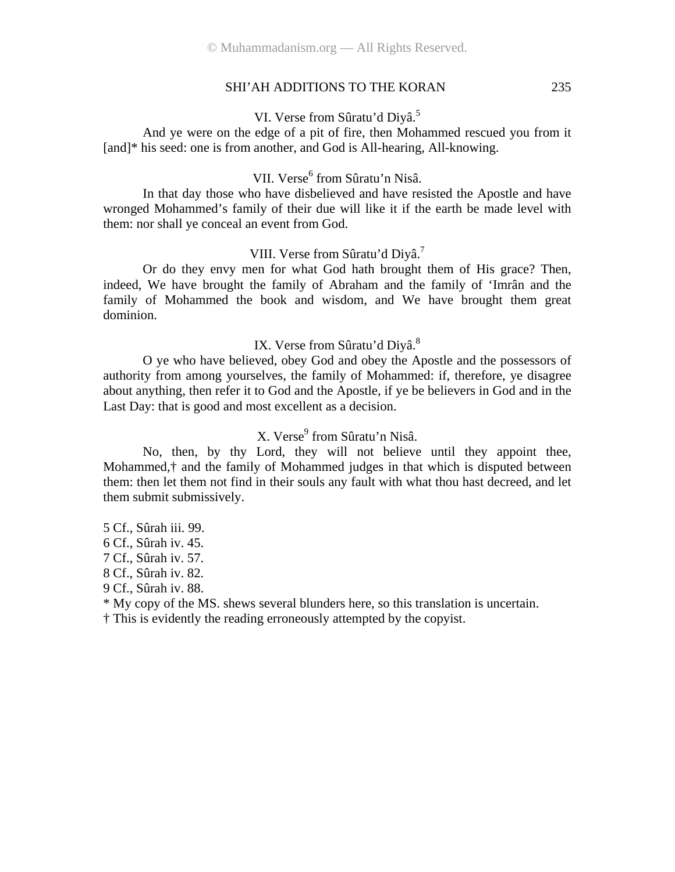VI. Verse from Sûratu'd Diyâ.<sup>5</sup>

And ye were on the edge of a pit of fire, then Mohammed rescued you from it [and]\* his seed: one is from another, and God is All-hearing, All-knowing.

## VII. Verse<sup>6</sup> from Sûratu'n Nisâ.

In that day those who have disbelieved and have resisted the Apostle and have wronged Mohammed's family of their due will like it if the earth be made level with them: nor shall ye conceal an event from God.

#### VIII. Verse from Sûratu'd Diyâ.<sup>7</sup>

Or do they envy men for what God hath brought them of His grace? Then, indeed, We have brought the family of Abraham and the family of 'Imrân and the family of Mohammed the book and wisdom, and We have brought them great dominion.

#### IX. Verse from Sûratu'd Diyâ.<sup>8</sup>

O ye who have believed, obey God and obey the Apostle and the possessors of authority from among yourselves, the family of Mohammed: if, therefore, ye disagree about anything, then refer it to God and the Apostle, if ye be believers in God and in the Last Day: that is good and most excellent as a decision.

## X. Verse<sup>9</sup> from Sûratu'n Nisâ.

No, then, by thy Lord, they will not believe until they appoint thee, Mohammed,† and the family of Mohammed judges in that which is disputed between them: then let them not find in their souls any fault with what thou hast decreed, and let them submit submissively.

5 Cf., Sûrah iii. 99.

6 Cf., Sûrah iv. 45.

7 Cf., Sûrah iv. 57.

8 Cf., Sûrah iv. 82.

9 Cf., Sûrah iv. 88.

\* My copy of the MS. shews several blunders here, so this translation is uncertain.

† This is evidently the reading erroneously attempted by the copyist.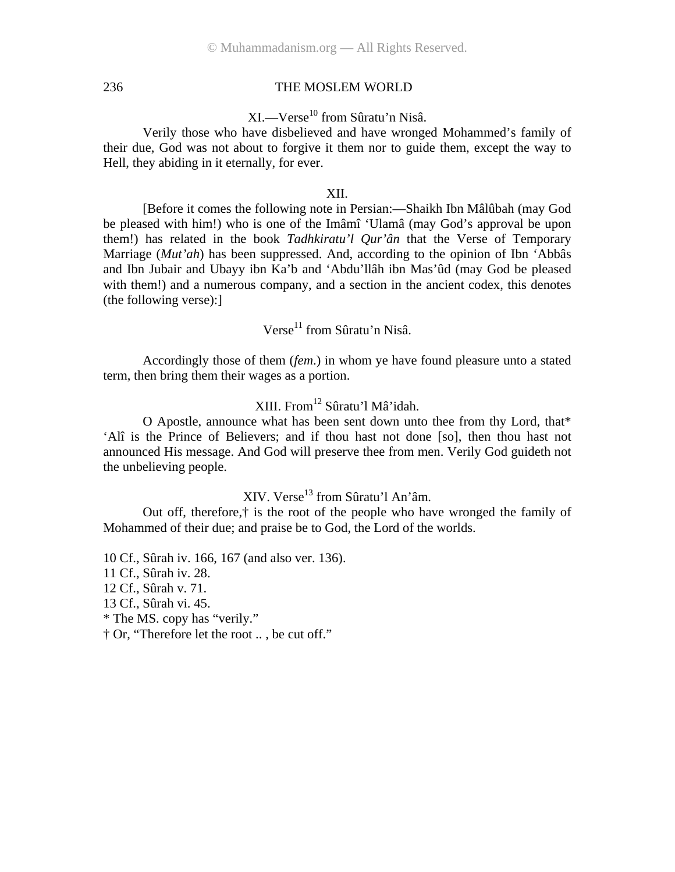## XI.—Verse<sup>10</sup> from Sûratu'n Nisâ.

Verily those who have disbelieved and have wronged Mohammed's family of their due, God was not about to forgive it them nor to guide them, except the way to Hell, they abiding in it eternally, for ever.

#### XII.

[Before it comes the following note in Persian:—Shaikh Ibn Mâlûbah (may God be pleased with him!) who is one of the Imâmî 'Ulamâ (may God's approval be upon them!) has related in the book *Tadhkiratu'l Qur'ân* that the Verse of Temporary Marriage (*Mut'ah*) has been suppressed. And, according to the opinion of Ibn 'Abbâs and Ibn Jubair and Ubayy ibn Ka'b and 'Abdu'llâh ibn Mas'ûd (may God be pleased with them!) and a numerous company, and a section in the ancient codex, this denotes (the following verse):]

Verse<sup>11</sup> from Sûratu'n Nisâ.

Accordingly those of them (*fem*.) in whom ye have found pleasure unto a stated term, then bring them their wages as a portion.

## XIII. From12 Sûratu'l Mâ'idah.

O Apostle, announce what has been sent down unto thee from thy Lord, that\* 'Alî is the Prince of Believers; and if thou hast not done [so], then thou hast not announced His message. And God will preserve thee from men. Verily God guideth not the unbelieving people.

## XIV. Verse<sup>13</sup> from Sûratu'l An'âm.

Out off, therefore,† is the root of the people who have wronged the family of Mohammed of their due; and praise be to God, the Lord of the worlds.

10 Cf., Sûrah iv. 166, 167 (and also ver. 136).

11 Cf., Sûrah iv. 28.

12 Cf., Sûrah v. 71.

13 Cf., Sûrah vi. 45.

\* The MS. copy has "verily."

† Or, "Therefore let the root .. , be cut off."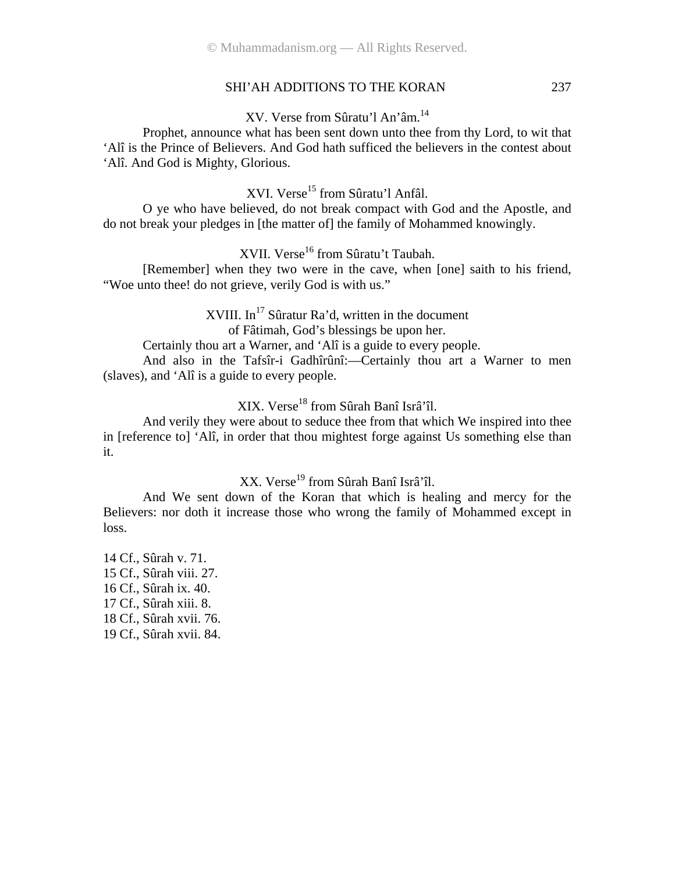## XV. Verse from Sûratu'l An'âm.14

Prophet, announce what has been sent down unto thee from thy Lord, to wit that 'Alî is the Prince of Believers. And God hath sufficed the believers in the contest about 'Alî. And God is Mighty, Glorious.

XVI. Verse<sup>15</sup> from Sûratu'l Anfâl.

O ye who have believed, do not break compact with God and the Apostle, and do not break your pledges in [the matter of] the family of Mohammed knowingly.

XVII. Verse<sup>16</sup> from Sûratu't Taubah.

[Remember] when they two were in the cave, when [one] saith to his friend, "Woe unto thee! do not grieve, verily God is with us."

> XVIII. In<sup>17</sup> Sûratur Ra'd, written in the document of Fâtimah, God's blessings be upon her.

Certainly thou art a Warner, and 'Alî is a guide to every people.

And also in the Tafsîr-i Gadhîrûnî:—Certainly thou art a Warner to men (slaves), and 'Alî is a guide to every people.

## XIX. Verse18 from Sûrah Banî Isrâ'îl.

And verily they were about to seduce thee from that which We inspired into thee in [reference to] 'Alî, in order that thou mightest forge against Us something else than it.

XX. Verse<sup>19</sup> from Sûrah Banî Isrâ'îl.

And We sent down of the Koran that which is healing and mercy for the Believers: nor doth it increase those who wrong the family of Mohammed except in loss.

14 Cf., Sûrah v. 71. 15 Cf., Sûrah viii. 27. 16 Cf., Sûrah ix. 40. 17 Cf., Sûrah xiii. 8. 18 Cf., Sûrah xvii. 76. 19 Cf., Sûrah xvii. 84.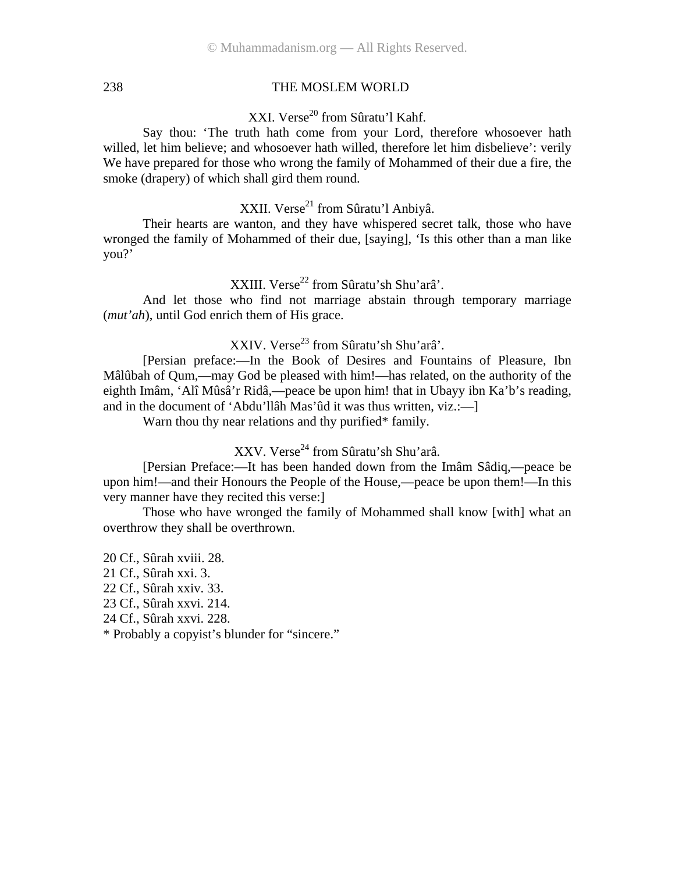XXI. Verse<sup>20</sup> from Sûratu'l Kahf.

Say thou: 'The truth hath come from your Lord, therefore whosoever hath willed, let him believe; and whosoever hath willed, therefore let him disbelieve': verily We have prepared for those who wrong the family of Mohammed of their due a fire, the smoke (drapery) of which shall gird them round.

XXII. Verse<sup>21</sup> from Sûratu'l Anbiyâ.

Their hearts are wanton, and they have whispered secret talk, those who have wronged the family of Mohammed of their due, [saying], 'Is this other than a man like you?'

XXIII. Verse<sup>22</sup> from Sûratu'sh Shu'arâ'.

And let those who find not marriage abstain through temporary marriage (*mut'ah*), until God enrich them of His grace.

XXIV. Verse<sup>23</sup> from Sûratu'sh Shu'arâ'.

[Persian preface:—In the Book of Desires and Fountains of Pleasure, Ibn Mâlûbah of Qum,—may God be pleased with him!—has related, on the authority of the eighth Imâm, 'Alî Mûsâ'r Ridâ,—peace be upon him! that in Ubayy ibn Ka'b's reading, and in the document of 'Abdu'llâh Mas'ûd it was thus written, viz.:—]

Warn thou thy near relations and thy purified\* family.

XXV. Verse<sup>24</sup> from Sûratu'sh Shu'arâ.

[Persian Preface:—It has been handed down from the Imâm Sâdiq,—peace be upon him!—and their Honours the People of the House,—peace be upon them!—In this very manner have they recited this verse:]

Those who have wronged the family of Mohammed shall know [with] what an overthrow they shall be overthrown.

20 Cf., Sûrah xviii. 28. 21 Cf., Sûrah xxi. 3. 22 Cf., Sûrah xxiv. 33. 23 Cf., Sûrah xxvi. 214. 24 Cf., Sûrah xxvi. 228. \* Probably a copyist's blunder for "sincere."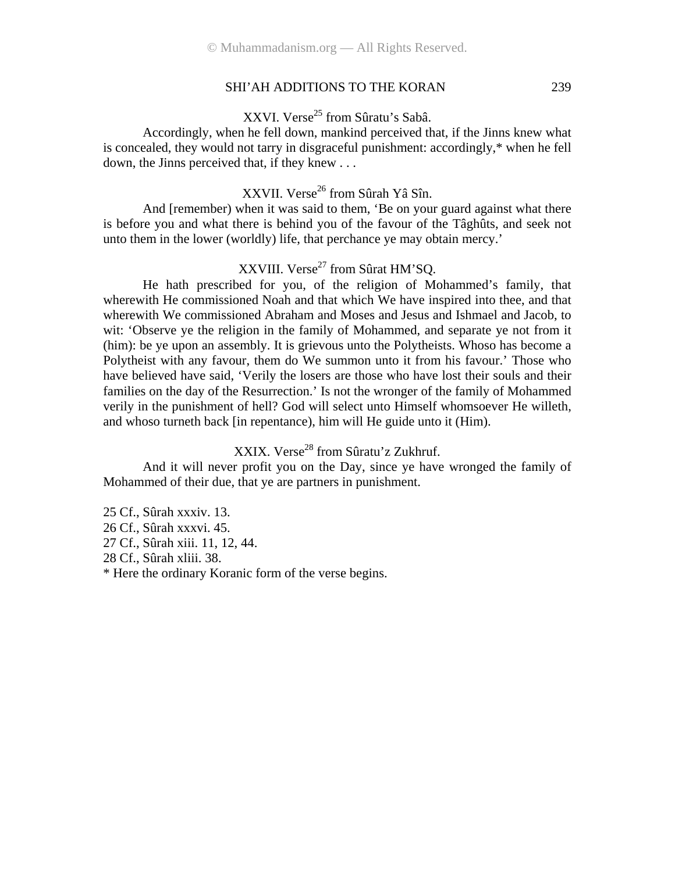XXVI. Verse<sup>25</sup> from Sûratu's Sabâ.

Accordingly, when he fell down, mankind perceived that, if the Jinns knew what is concealed, they would not tarry in disgraceful punishment: accordingly,\* when he fell down, the Jinns perceived that, if they knew . . .

XXVII. Verse<sup>26</sup> from Sûrah Yâ Sîn.

And [remember) when it was said to them, 'Be on your guard against what there is before you and what there is behind you of the favour of the Tâghûts, and seek not unto them in the lower (worldly) life, that perchance ye may obtain mercy.'

## XXVIII. Verse<sup>27</sup> from Sûrat HM'SQ.

He hath prescribed for you, of the religion of Mohammed's family, that wherewith He commissioned Noah and that which We have inspired into thee, and that wherewith We commissioned Abraham and Moses and Jesus and Ishmael and Jacob, to wit: 'Observe ye the religion in the family of Mohammed, and separate ye not from it (him): be ye upon an assembly. It is grievous unto the Polytheists. Whoso has become a Polytheist with any favour, them do We summon unto it from his favour.' Those who have believed have said, 'Verily the losers are those who have lost their souls and their families on the day of the Resurrection.' Is not the wronger of the family of Mohammed verily in the punishment of hell? God will select unto Himself whomsoever He willeth, and whoso turneth back [in repentance), him will He guide unto it (Him).

## XXIX. Verse<sup>28</sup> from Sûratu'z Zukhruf.

And it will never profit you on the Day, since ye have wronged the family of Mohammed of their due, that ye are partners in punishment.

25 Cf., Sûrah xxxiv. 13. 26 Cf., Sûrah xxxvi. 45. 27 Cf., Sûrah xiii. 11, 12, 44. 28 Cf., Sûrah xliii. 38. \* Here the ordinary Koranic form of the verse begins.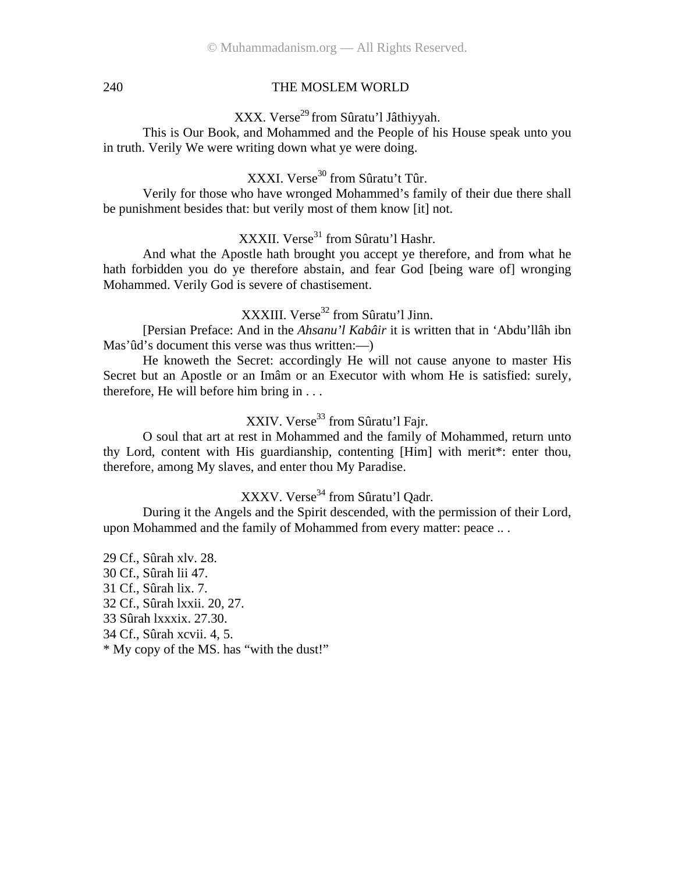## XXX. Verse<sup>29</sup> from Sûratu'l Jâthiyyah.

This is Our Book, and Mohammed and the People of his House speak unto you in truth. Verily We were writing down what ye were doing.

## XXXI. Verse<sup>30</sup> from Sûratu't Tûr.

Verily for those who have wronged Mohammed's family of their due there shall be punishment besides that: but verily most of them know [it] not.

## XXXII. Verse<sup>31</sup> from Sûratu'l Hashr.

And what the Apostle hath brought you accept ye therefore, and from what he hath forbidden you do ye therefore abstain, and fear God [being ware of] wronging Mohammed. Verily God is severe of chastisement.

## XXXIII. Verse<sup>32</sup> from Sûratu'l Jinn.

[Persian Preface: And in the *Ahsanu'l Kabâir* it is written that in 'Abdu'llâh ibn Mas'ûd's document this verse was thus written:—)

He knoweth the Secret: accordingly He will not cause anyone to master His Secret but an Apostle or an Imâm or an Executor with whom He is satisfied: surely, therefore, He will before him bring in . . .

## XXIV. Verse<sup>33</sup> from Sûratu'l Fajr.

O soul that art at rest in Mohammed and the family of Mohammed, return unto thy Lord, content with His guardianship, contenting [Him] with merit\*: enter thou, therefore, among My slaves, and enter thou My Paradise.

## XXXV. Verse<sup>34</sup> from Sûratu'l Oadr.

During it the Angels and the Spirit descended, with the permission of their Lord, upon Mohammed and the family of Mohammed from every matter: peace .. .

29 Cf., Sûrah xlv. 28. 30 Cf., Sûrah lii 47. 31 Cf., Sûrah lix. 7. 32 Cf., Sûrah lxxii. 20, 27. 33 Sûrah lxxxix. 27.30. 34 Cf., Sûrah xcvii. 4, 5. \* My copy of the MS. has "with the dust!"